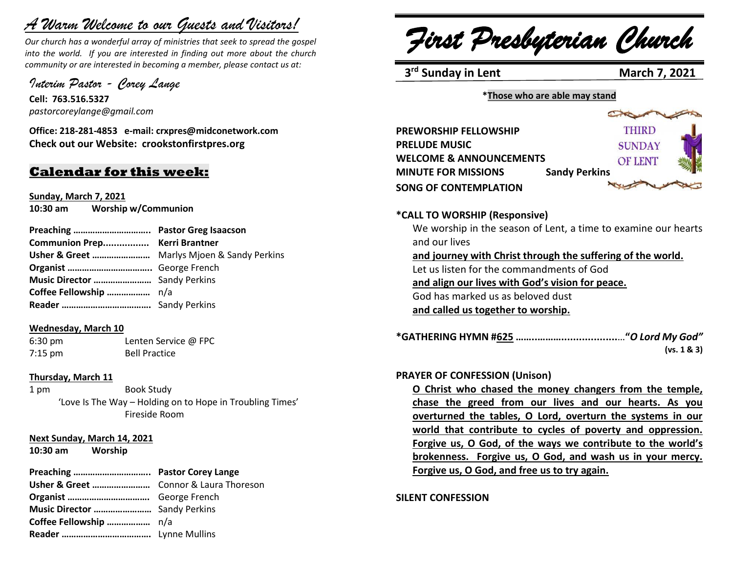# *A Warm Welcome to our Guests and Visitors!*

*Our church has a wonderful array of ministries that seek to spread the gospel into the world. If you are interested in finding out more about the church community or are interested in becoming a member, please contact us at:*

*Interim Pastor - Corey Lange*

**Cell: 763.516.5327** *pastorcoreylange@gmail.com*

**Office: 218-281-4853 e-mail: crxpres@midconetwork.com Check out our Website: crookstonfirstpres.org**

# **Calendar for this week:**

**Sunday, March 7, 2021 10:30 am Worship w/Communion**

| Communion Prep Kerri Brantner |
|-------------------------------|
|                               |
|                               |
|                               |
|                               |
|                               |
|                               |

### **Wednesday, March 10**

6:30 pm Lenten Service @ FPC 7:15 pm Bell Practice

### **Thursday, March 11**

1 pm Book Study 'Love Is The Way – Holding on to Hope in Troubling Times' Fireside Room

### **Next Sunday, March 14, 2021**

**10:30 am Worship**

### **Preaching ………………………….. Pastor Corey Lange**

*First Presbyterian Church*

**3<sup>rd</sup> Sunday in Lent** March 7, 2021

#### **\*Those who are able may stand**

| <b>PREWORSHIP FELLOWSHIP</b> |                      | THIRD          |  |
|------------------------------|----------------------|----------------|--|
| <b>PRELUDE MUSIC</b>         |                      | <b>SUNDAY</b>  |  |
| WELCOME & ANNOUNCEMENTS      |                      | <b>OF LENT</b> |  |
| <b>MINUTE FOR MISSIONS</b>   | <b>Sandy Perkins</b> |                |  |
| <b>SONG OF CONTEMPLATION</b> |                      |                |  |

### **\*CALL TO WORSHIP (Responsive)**

We worship in the season of Lent, a time to examine our hearts and our lives **and journey with Christ through the suffering of the world.** Let us listen for the commandments of God **and align our lives with God's vision for peace.** God has marked us as beloved dust **and called us together to worship.**

**\*GATHERING HYMN #625 ……..………...................**…**"***O Lord My God"*  **(vs. 1 & 3)**

### **PRAYER OF CONFESSION (Unison)**

**O Christ who chased the money changers from the temple, chase the greed from our lives and our hearts. As you overturned the tables, O Lord, overturn the systems in our world that contribute to cycles of poverty and oppression. Forgive us, O God, of the ways we contribute to the world's brokenness. Forgive us, O God, and wash us in your mercy. Forgive us, O God, and free us to try again.**

**SILENT CONFESSION**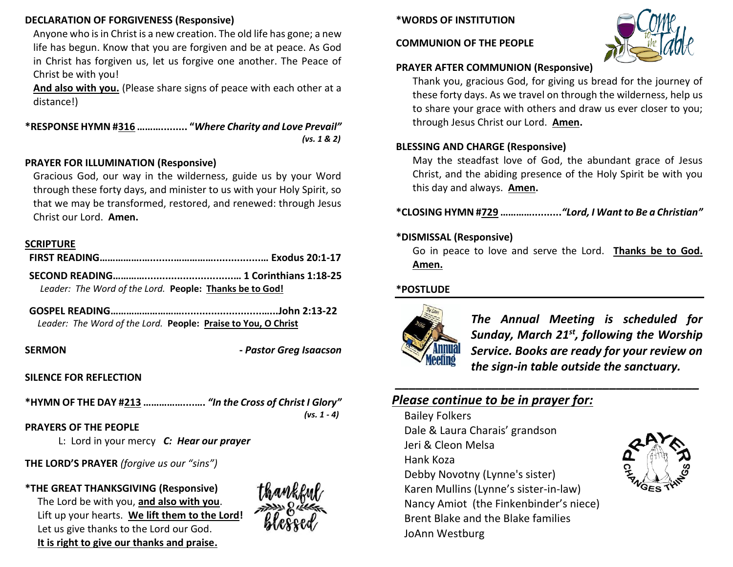### **DECLARATION OF FORGIVENESS (Responsive)**

Anyone who is in Christ is a new creation. The old life has gone; a new life has begun. Know that you are forgiven and be at peace. As God in Christ has forgiven us, let us forgive one another. The Peace of Christ be with you!

**And also with you.** (Please share signs of peace with each other at a distance!)

**\*RESPONSE HYMN #316 ………......... "***Where Charity and Love Prevail" (vs. 1 & 2)*

### **PRAYER FOR ILLUMINATION (Responsive)**

Gracious God, our way in the wilderness, guide us by your Word through these forty days, and minister to us with your Holy Spirit, so that we may be transformed, restored, and renewed: through Jesus Christ our Lord. **Amen.**

### **SCRIPTURE**

| Leader: The Word of the Lord. People: Thanks be to God! |  |
|---------------------------------------------------------|--|

**GOSPEL READING………………………...........................…...John 2:13-22** *Leader: The Word of the Lord.* **People: Praise to You, O Christ**

**SERMON -** *Pastor Greg Isaacson*

**SILENCE FOR REFLECTION**

**\*HYMN OF THE DAY #213 ……………....….** *"In the Cross of Christ I Glory" (vs. 1 - 4)*

**PRAYERS OF THE PEOPLE** 

L: Lord in your mercy *C: Hear our prayer*

**THE LORD'S PRAYER** *(forgive us our "sins")* 

# **\*THE GREAT THANKSGIVING (Responsive)**

The Lord be with you, **and also with you**. Lift up your hearts. **We lift them to the Lord!**  Let us give thanks to the Lord our God. **It is right to give our thanks and praise.**



### **\*WORDS OF INSTITUTION**

#### **COMMUNION OF THE PEOPLE**



### **PRAYER AFTER COMMUNION (Responsive)**

Thank you, gracious God, for giving us bread for the journey of these forty days. As we travel on through the wilderness, help us to share your grace with others and draw us ever closer to you; through Jesus Christ our Lord. **Amen.**

### **BLESSING AND CHARGE (Responsive)**

May the steadfast love of God, the abundant grace of Jesus Christ, and the abiding presence of the Holy Spirit be with you this day and always. **Amen.**

**\*CLOSING HYMN #729 …………..........***"Lord, I Want to Be a Christian"*

### **\*DISMISSAL (Responsive)**

Go in peace to love and serve the Lord. **Thanks be to God. Amen.**

*\_\_\_\_\_\_\_\_\_\_\_\_\_\_\_\_\_\_\_\_\_\_\_\_\_\_\_\_\_\_\_\_\_\_\_\_\_\_\_\_\_\_\_\_*

### **\*POSTLUDE**



*The Annual Meeting is scheduled for Sunday, March 21st, following the Worship Service. Books are ready for your review on the sign-in table outside the sanctuary.*

# *Please continue to be in prayer for:*

Bailey Folkers Dale & Laura Charais' grandson Jeri & Cleon Melsa Hank Koza Debby Novotny (Lynne's sister) Karen Mullins (Lynne's sister-in-law) Nancy Amiot (the Finkenbinder's niece) Brent Blake and the Blake families JoAnn Westburg

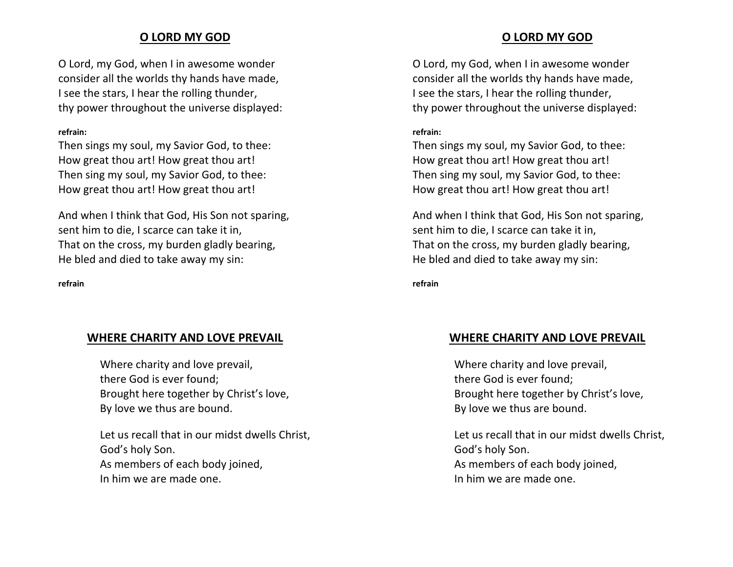# **O LORD MY GOD**

O Lord, my God, when I in awesome wonder consider all the worlds thy hands have made, I see the stars, I hear the rolling thunder, thy power throughout the universe displayed:

#### **refrain:**

Then sings my soul, my Savior God, to thee: How great thou art! How great thou art! Then sing my soul, my Savior God, to thee: How great thou art! How great thou art!

And when I think that God, His Son not sparing, sent him to die, I scarce can take it in, That on the cross, my burden gladly bearing, He bled and died to take away my sin:

#### **refrain**

# **WHERE CHARITY AND LOVE PREVAIL**

Where charity and love prevail, there God is ever found; Brought here together by Christ's love, By love we thus are bound.

Let us recall that in our midst dwells Christ, God's holy Son. As members of each body joined, In him we are made one.

### **O LORD MY GOD**

O Lord, my God, when I in awesome wonder consider all the worlds thy hands have made, I see the stars, I hear the rolling thunder, thy power throughout the universe displayed:

#### **refrain:**

Then sings my soul, my Savior God, to thee: How great thou art! How great thou art! Then sing my soul, my Savior God, to thee: How great thou art! How great thou art!

And when I think that God, His Son not sparing, sent him to die, I scarce can take it in, That on the cross, my burden gladly bearing, He bled and died to take away my sin:

**refrain**

# **WHERE CHARITY AND LOVE PREVAIL**

Where charity and love prevail, there God is ever found; Brought here together by Christ's love, By love we thus are bound.

Let us recall that in our midst dwells Christ, God's holy Son. As members of each body joined, In him we are made one.